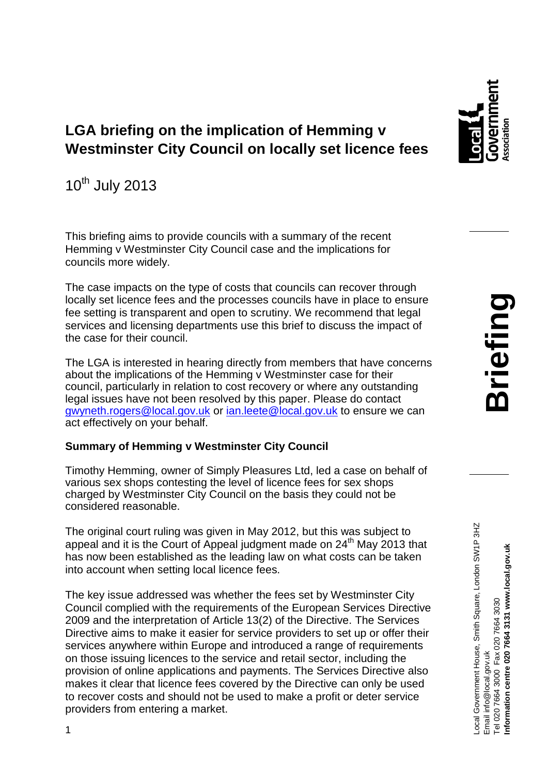# **LGA briefing on the implication of Hemming v Westminster City Council on locally set licence fees**

10th July 2013

This briefing aims to provide councils with a summary of the recent Hemming v Westminster City Council case and the implications for councils more widely.

The case impacts on the type of costs that councils can recover through locally set licence fees and the processes councils have in place to ensure fee setting is transparent and open to scrutiny. We recommend that legal services and licensing departments use this brief to discuss the impact of the case for their council.

The LGA is interested in hearing directly from members that have concerns about the implications of the Hemming v Westminster case for their council, particularly in relation to cost recovery or where any outstanding legal issues have not been resolved by this paper. Please do contact [gwyneth.rogers@local.gov.uk](mailto:gwyneth.rogers@local.gov.uk) or [ian.leete@local.gov.uk](mailto:ian.leete@local.gov.uk) to ensure we can act effectively on your behalf.

## **Summary of Hemming v Westminster City Council**

Timothy Hemming, owner of Simply Pleasures Ltd, led a case on behalf of various sex shops contesting the level of licence fees for sex shops charged by Westminster City Council on the basis they could not be considered reasonable.

The original court ruling was given in May 2012, but this was subject to appeal and it is the Court of Appeal judgment made on 24<sup>th</sup> May 2013 that has now been established as the leading law on what costs can be taken into account when setting local licence fees.

The key issue addressed was whether the fees set by Westminster City Council complied with the requirements of the European Services Directive 2009 and the interpretation of Article 13(2) of the Directive. The Services Directive aims to make it easier for service providers to set up or offer their services anywhere within Europe and introduced a range of requirements on those issuing licences to the service and retail sector, including the provision of online applications and payments. The Services Directive also makes it clear that licence fees covered by the Directive can only be used to recover costs and should not be used to make a profit or deter service providers from entering a market.

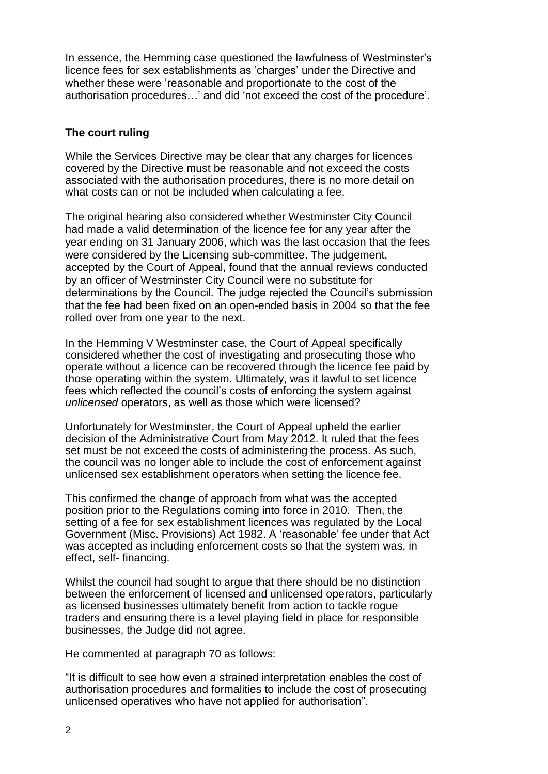In essence, the Hemming case questioned the lawfulness of Westminster's licence fees for sex establishments as 'charges' under the Directive and whether these were 'reasonable and proportionate to the cost of the authorisation procedures…' and did 'not exceed the cost of the procedure'.

### **The court ruling**

While the Services Directive may be clear that any charges for licences covered by the Directive must be reasonable and not exceed the costs associated with the authorisation procedures, there is no more detail on what costs can or not be included when calculating a fee.

The original hearing also considered whether Westminster City Council had made a valid determination of the licence fee for any year after the year ending on 31 January 2006, which was the last occasion that the fees were considered by the Licensing sub-committee. The judgement, accepted by the Court of Appeal, found that the annual reviews conducted by an officer of Westminster City Council were no substitute for determinations by the Council. The judge rejected the Council's submission that the fee had been fixed on an open-ended basis in 2004 so that the fee rolled over from one year to the next.

In the Hemming V Westminster case, the Court of Appeal specifically considered whether the cost of investigating and prosecuting those who operate without a licence can be recovered through the licence fee paid by those operating within the system. Ultimately, was it lawful to set licence fees which reflected the council's costs of enforcing the system against *unlicensed* operators, as well as those which were licensed?

Unfortunately for Westminster, the Court of Appeal upheld the earlier decision of the Administrative Court from May 2012. It ruled that the fees set must be not exceed the costs of administering the process. As such, the council was no longer able to include the cost of enforcement against unlicensed sex establishment operators when setting the licence fee.

This confirmed the change of approach from what was the accepted position prior to the Regulations coming into force in 2010. Then, the setting of a fee for sex establishment licences was regulated by the Local Government (Misc. Provisions) Act 1982. A 'reasonable' fee under that Act was accepted as including enforcement costs so that the system was, in effect, self- financing.

Whilst the council had sought to argue that there should be no distinction between the enforcement of licensed and unlicensed operators, particularly as licensed businesses ultimately benefit from action to tackle rogue traders and ensuring there is a level playing field in place for responsible businesses, the Judge did not agree.

He commented at paragraph 70 as follows:

"It is difficult to see how even a strained interpretation enables the cost of authorisation procedures and formalities to include the cost of prosecuting unlicensed operatives who have not applied for authorisation".